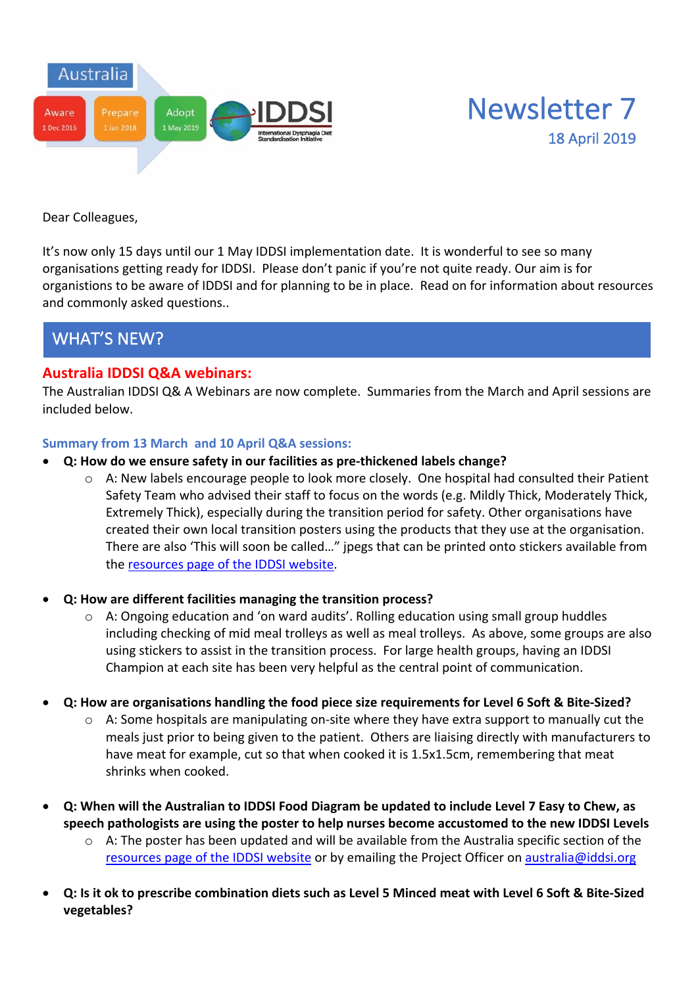



Dear Colleagues,

It's now only 15 days until our 1 May IDDSI implementation date. It is wonderful to see so many organisations getting ready for IDDSI. Please don't panic if you're not quite ready. Our aim is for organistions to be aware of IDDSI and for planning to be in place. Read on for information about resources and commonly asked questions..

# WHAT'S NEW?

### **Australia IDDSI Q&A webinars:**

The Australian IDDSI Q& A Webinars are now complete. Summaries from the March and April sessions are included below.

#### **Summary from 13 March and 10 April Q&A sessions:**

- **Q: How do we ensure safety in our facilities as pre-thickened labels change?**
	- o A: New labels encourage people to look more closely. One hospital had consulted their Patient Safety Team who advised their staff to focus on the words (e.g. Mildly Thick, Moderately Thick, Extremely Thick), especially during the transition period for safety. Other organisations have created their own local transition posters using the products that they use at the organisation. There are also 'This will soon be called…" jpegs that can be printed onto stickers available from the resources page of the IDDSI website.
- **Q: How are different facilities managing the transition process?**
	- o A: Ongoing education and 'on ward audits'. Rolling education using small group huddles including checking of mid meal trolleys as well as meal trolleys. As above, some groups are also using stickers to assist in the transition process. For large health groups, having an IDDSI Champion at each site has been very helpful as the central point of communication.
- **Q: How are organisations handling the food piece size requirements for Level 6 Soft & Bite-Sized?**
	- $\circ$  A: Some hospitals are manipulating on-site where they have extra support to manually cut the meals just prior to being given to the patient. Others are liaising directly with manufacturers to have meat for example, cut so that when cooked it is 1.5x1.5cm, remembering that meat shrinks when cooked.
- **Q: When will the Australian to IDDSI Food Diagram be updated to include Level 7 Easy to Chew, as speech pathologists are using the poster to help nurses become accustomed to the new IDDSI Levels**
	- $\circ$  A: The poster has been updated and will be available from the Australia specific section of the resources page of the IDDSI website or by emailing the Project Officer on australia@iddsi.org
- **Q: Is it ok to prescribe combination diets such as Level 5 Minced meat with Level 6 Soft & Bite-Sized vegetables?**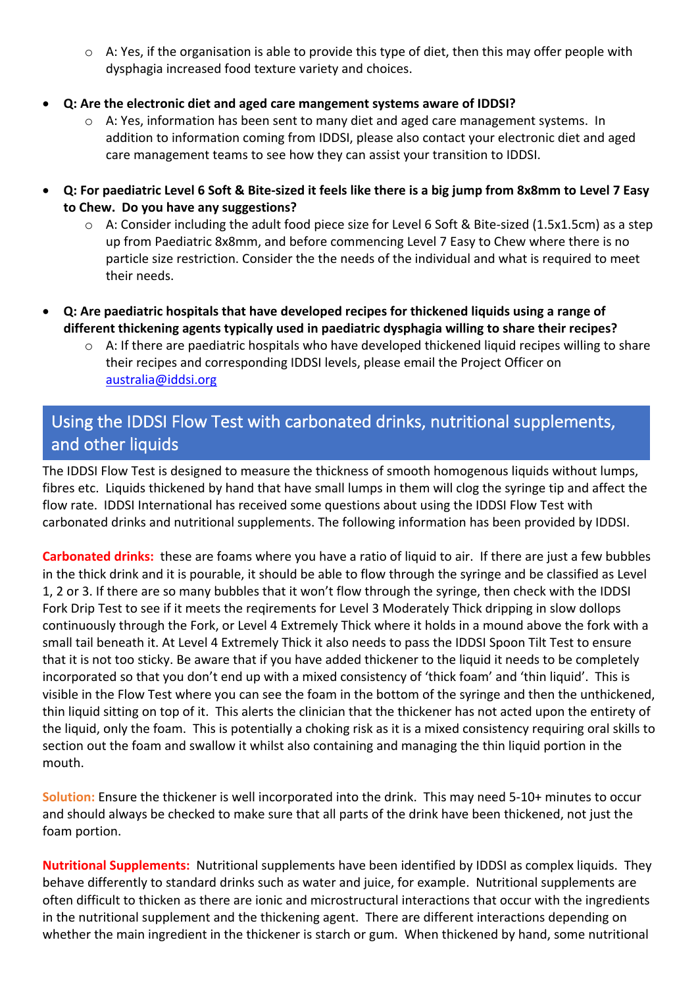- $\circ$  A: Yes, if the organisation is able to provide this type of diet, then this may offer people with dysphagia increased food texture variety and choices.
- **Q: Are the electronic diet and aged care mangement systems aware of IDDSI?**
	- $\circ$  A: Yes, information has been sent to many diet and aged care management systems. In addition to information coming from IDDSI, please also contact your electronic diet and aged care management teams to see how they can assist your transition to IDDSI.
- **Q: For paediatric Level 6 Soft & Bite-sized it feels like there is a big jump from 8x8mm to Level 7 Easy to Chew. Do you have any suggestions?**
	- o A: Consider including the adult food piece size for Level 6 Soft & Bite-sized (1.5x1.5cm) as a step up from Paediatric 8x8mm, and before commencing Level 7 Easy to Chew where there is no particle size restriction. Consider the the needs of the individual and what is required to meet their needs.
- **Q: Are paediatric hospitals that have developed recipes for thickened liquids using a range of different thickening agents typically used in paediatric dysphagia willing to share their recipes?**
	- $\circ$  A: If there are paediatric hospitals who have developed thickened liquid recipes willing to share their recipes and corresponding IDDSI levels, please email the Project Officer on australia@iddsi.org

# Using the IDDSI Flow Test with carbonated drinks, nutritional supplements, and other liquids

The IDDSI Flow Test is designed to measure the thickness of smooth homogenous liquids without lumps, fibres etc. Liquids thickened by hand that have small lumps in them will clog the syringe tip and affect the flow rate. IDDSI International has received some questions about using the IDDSI Flow Test with carbonated drinks and nutritional supplements. The following information has been provided by IDDSI.

**Carbonated drinks:** these are foams where you have a ratio of liquid to air. If there are just a few bubbles in the thick drink and it is pourable, it should be able to flow through the syringe and be classified as Level 1, 2 or 3. If there are so many bubbles that it won't flow through the syringe, then check with the IDDSI Fork Drip Test to see if it meets the reqirements for Level 3 Moderately Thick dripping in slow dollops continuously through the Fork, or Level 4 Extremely Thick where it holds in a mound above the fork with a small tail beneath it. At Level 4 Extremely Thick it also needs to pass the IDDSI Spoon Tilt Test to ensure that it is not too sticky. Be aware that if you have added thickener to the liquid it needs to be completely incorporated so that you don't end up with a mixed consistency of 'thick foam' and 'thin liquid'. This is visible in the Flow Test where you can see the foam in the bottom of the syringe and then the unthickened, thin liquid sitting on top of it. This alerts the clinician that the thickener has not acted upon the entirety of the liquid, only the foam. This is potentially a choking risk as it is a mixed consistency requiring oral skills to section out the foam and swallow it whilst also containing and managing the thin liquid portion in the mouth.

**Solution:** Ensure the thickener is well incorporated into the drink. This may need 5-10+ minutes to occur and should always be checked to make sure that all parts of the drink have been thickened, not just the foam portion.

**Nutritional Supplements:** Nutritional supplements have been identified by IDDSI as complex liquids. They behave differently to standard drinks such as water and juice, for example. Nutritional supplements are often difficult to thicken as there are ionic and microstructural interactions that occur with the ingredients in the nutritional supplement and the thickening agent. There are different interactions depending on whether the main ingredient in the thickener is starch or gum. When thickened by hand, some nutritional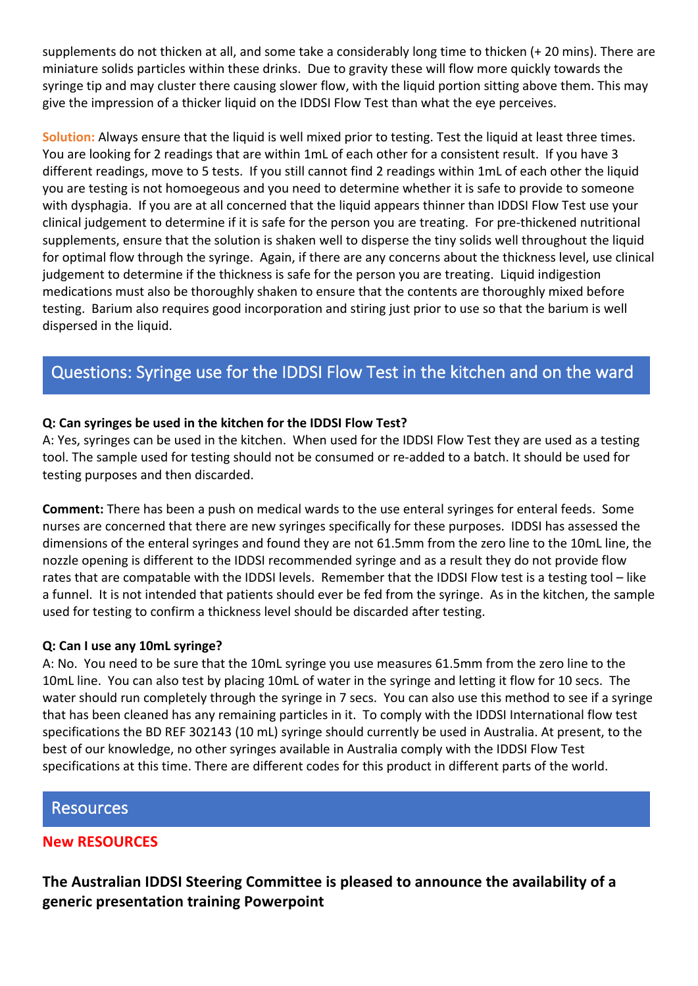supplements do not thicken at all, and some take a considerably long time to thicken (+ 20 mins). There are miniature solids particles within these drinks. Due to gravity these will flow more quickly towards the syringe tip and may cluster there causing slower flow, with the liquid portion sitting above them. This may give the impression of a thicker liquid on the IDDSI Flow Test than what the eye perceives.

**Solution:** Always ensure that the liquid is well mixed prior to testing. Test the liquid at least three times. You are looking for 2 readings that are within 1mL of each other for a consistent result. If you have 3 different readings, move to 5 tests. If you still cannot find 2 readings within 1mL of each other the liquid you are testing is not homoegeous and you need to determine whether it is safe to provide to someone with dysphagia. If you are at all concerned that the liquid appears thinner than IDDSI Flow Test use your clinical judgement to determine if it is safe for the person you are treating. For pre-thickened nutritional supplements, ensure that the solution is shaken well to disperse the tiny solids well throughout the liquid for optimal flow through the syringe. Again, if there are any concerns about the thickness level, use clinical judgement to determine if the thickness is safe for the person you are treating. Liquid indigestion medications must also be thoroughly shaken to ensure that the contents are thoroughly mixed before testing. Barium also requires good incorporation and stiring just prior to use so that the barium is well dispersed in the liquid.

# Questions: Syringe use for the IDDSI Flow Test in the kitchen and on the ward

#### **Q: Can syringes be used in the kitchen for the IDDSI Flow Test?**

A: Yes, syringes can be used in the kitchen. When used for the IDDSI Flow Test they are used as a testing tool. The sample used for testing should not be consumed or re-added to a batch. It should be used for testing purposes and then discarded.

**Comment:** There has been a push on medical wards to the use enteral syringes for enteral feeds. Some nurses are concerned that there are new syringes specifically for these purposes. IDDSI has assessed the dimensions of the enteral syringes and found they are not 61.5mm from the zero line to the 10mL line, the nozzle opening is different to the IDDSI recommended syringe and as a result they do not provide flow rates that are compatable with the IDDSI levels. Remember that the IDDSI Flow test is a testing tool – like a funnel. It is not intended that patients should ever be fed from the syringe. As in the kitchen, the sample used for testing to confirm a thickness level should be discarded after testing.

#### **Q: Can I use any 10mL syringe?**

A: No. You need to be sure that the 10mL syringe you use measures 61.5mm from the zero line to the 10mL line. You can also test by placing 10mL of water in the syringe and letting it flow for 10 secs. The water should run completely through the syringe in 7 secs. You can also use this method to see if a syringe that has been cleaned has any remaining particles in it. To comply with the IDDSI International flow test specifications the BD REF 302143 (10 mL) syringe should currently be used in Australia. At present, to the best of our knowledge, no other syringes available in Australia comply with the IDDSI Flow Test specifications at this time. There are different codes for this product in different parts of the world.

#### Resources

### **New RESOURCES**

**The Australian IDDSI Steering Committee is pleased to announce the availability of a generic presentation training Powerpoint**